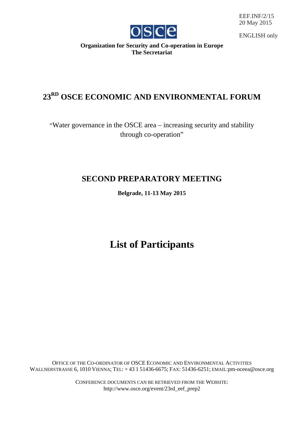

EEF.INF/2/15 20 May 2015

ENGLISH only

**Organization for Security and Co-operation in Europe The Secretariat**

# **23RD OSCE ECONOMIC AND ENVIRONMENTAL FORUM**

"Water governance in the OSCE area – increasing security and stability through co-operation"

## **SECOND PREPARATORY MEETING**

**Belgrade, 11-13 May 2015**

## **List of Participants**

OFFICE OF THE CO-ORDINATOR OF OSCE ECONOMIC AND ENVIRONMENTAL ACTIVITIES WALLNERSTRASSE 6, 1010 VIENNA; TEL: + 43 1 51436-6675; FAX: 51436-6251; EMAIL:pm-oceea@osce.org

> CONFERENCE DOCUMENTS CAN BE RETRIEVED FROM THE WEBSITE: http://www.osce.org/event/23rd\_eef\_prep2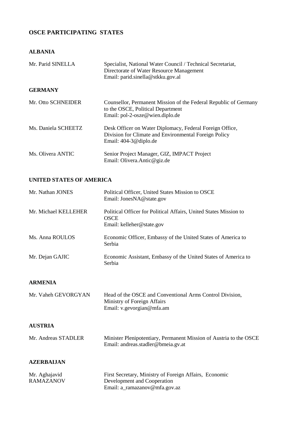## **OSCE PARTICIPATING STATES**

#### **ALBANIA**

| Mr. Parid SINELLA   | Specialist, National Water Council / Technical Secretariat,<br>Directorate of Water Resource Management<br>Email: parid.sinella@stkku.gov.al |
|---------------------|----------------------------------------------------------------------------------------------------------------------------------------------|
| <b>GERMANY</b>      |                                                                                                                                              |
| Mr. Otto SCHNEIDER  | Counsellor, Permanent Mission of the Federal Republic of Germany<br>to the OSCE, Political Department<br>Email: pol-2-osze@wien.diplo.de     |
| Ms. Daniela SCHEETZ | Desk Officer on Water Diplomacy, Federal Foreign Office,<br>Division for Climate and Environmental Foreign Policy<br>Email: 404-3@diplo.de   |
| Ms. Olivera ANTIC   | Senior Project Manager, GIZ, IMPACT Project<br>Email: Olivera.Antic@giz.de                                                                   |

#### **UNITED STATES OF AMERICA**

| Mr. Nathan JONES     | Political Officer, United States Mission to OSCE<br>Email: JonesNA@state.gov                                  |
|----------------------|---------------------------------------------------------------------------------------------------------------|
| Mr. Michael KELLEHER | Political Officer for Political Affairs, United States Mission to<br><b>OSCE</b><br>Email: kelleher@state.gov |
| Ms. Anna ROULOS      | Economic Officer, Embassy of the United States of America to<br>Serbia                                        |
| Mr. Dejan GAJIC      | Economic Assistant, Embassy of the United States of America to<br>Serbia                                      |

#### **ARMENIA**

| Mr. Vaheh GEVORGYAN | Head of the OSCE and Conventional Arms Control Division, |
|---------------------|----------------------------------------------------------|
|                     | Ministry of Foreign Affairs                              |
|                     | Email: $v.gevorgian@mfa am$                              |

#### **AUSTRIA**

| Mr. Andreas STADLER | Minister Plenipotentiary, Permanent Mission of Austria to the OSCE |
|---------------------|--------------------------------------------------------------------|
|                     | Email: andreas.stadler@bmeia.gv.at                                 |

#### **AZERBAIJAN**

| Mr. Aghajavid    | First Secretary, Ministry of Foreign Affairs, Economic |
|------------------|--------------------------------------------------------|
| <b>RAMAZANOV</b> | Development and Cooperation                            |
|                  | Email: a_ramazanov@mfa.gov.az                          |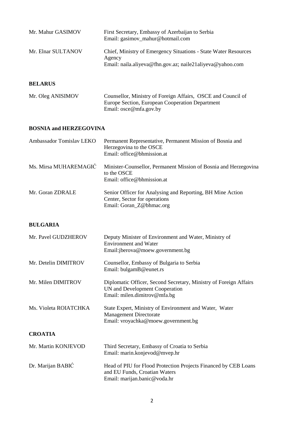| Mr. Mahur GASIMOV  | First Secretary, Embassy of Azerbaijan to Serbia<br>Email: gasimov_mahur@hotmail.com                                                   |
|--------------------|----------------------------------------------------------------------------------------------------------------------------------------|
| Mr. Elnar SULTANOV | Chief, Ministry of Emergency Situations - State Water Resources<br>Agency<br>Email: naila.aliyeva@fhn.gov.az; naile21aliyeva@yahoo.com |

#### **BELARUS**

| Mr. Oleg ANISIMOV | Counsellor, Ministry of Foreign Affairs, OSCE and Council of |
|-------------------|--------------------------------------------------------------|
|                   | Europe Section, European Cooperation Department              |
|                   | Email: $\csc \omega$ mfa.gov.by                              |

#### **BOSNIA and HERZEGOVINA**

| Ambassador Tomislav LEKO | Permanent Representative, Permanent Mission of Bosnia and<br>Herzegovina to the OSCE<br>Email: office@bhmission.at      |
|--------------------------|-------------------------------------------------------------------------------------------------------------------------|
| Ms. Mirsa MUHAREMAGIĆ    | Minister-Counsellor, Permanent Mission of Bosnia and Herzegovina<br>to the OSCE<br>Email: office@bhmission.at           |
| Mr. Goran ZDRALE         | Senior Officer for Analysing and Reporting, BH Mine Action<br>Center, Sector for operations<br>Email: Goran_Z@bhmac.org |

#### **BULGARIA**

| Mr. Pavel GUDZHEROV   | Deputy Minister of Environment and Water, Ministry of<br><b>Environment and Water</b><br>Email: jberova@moew.government.bg          |
|-----------------------|-------------------------------------------------------------------------------------------------------------------------------------|
| Mr. Detelin DIMITROV  | Counsellor, Embassy of Bulgaria to Serbia<br>Email: bulgamB@eunet.rs                                                                |
| Mr. Milen DIMITROV    | Diplomatic Officer, Second Secretary, Ministry of Foreign Affairs<br>UN and Development Cooperation<br>Email: milen.dimitrov@mfa.bg |
| Ms. Violeta ROIATCHKA | State Expert, Ministry of Environment and Water, Water<br><b>Management Directorate</b><br>Email: vroyachka@moew.government.bg      |
| <b>CROATIA</b>        |                                                                                                                                     |
| Mr. Martin KONJEVOD   | Third Secretary, Embassy of Croatia to Serbia<br>Email: marin.konjevod@mvep.hr                                                      |
| Dr. Marijan BABIĆ     | Head of PIU for Flood Protection Projects Financed by CEB Loans<br>and EU Funds, Croatian Waters<br>Email: marijan.banic@voda.hr    |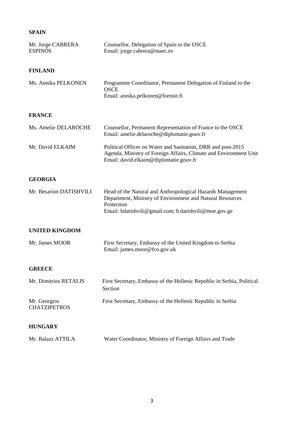## **SPAIN**

| Mr. Jorge CABRERA<br><b>ESPINÓS</b> | Counsellor, Delegation of Spain to the OSCE<br>Email: jorge.cabrera@maec.es                                                                                                                    |
|-------------------------------------|------------------------------------------------------------------------------------------------------------------------------------------------------------------------------------------------|
| <b>FINLAND</b>                      |                                                                                                                                                                                                |
| Ms. Annika PELKONEN                 | Programme Coordinator, Permanent Delegation of Finland to the<br><b>OSCE</b><br>Email: annika.pelkonen@formin.fi                                                                               |
| <b>FRANCE</b>                       |                                                                                                                                                                                                |
| Ms. Amelie DELAROCHE                | Counsellor, Permanent Representation of France to the OSCE<br>Email: amelie.delaroche@diplomatie.gouv.fr                                                                                       |
| Mr. David ELKAIM                    | Political Officer on Water and Sanitation, DRR and post-2015<br>Agenda, Ministry of Foreign Affairs, Climate and Environment Unit<br>Email: david.elkaim@diplomatie.gouv.fr                    |
| <b>GEORGIA</b>                      |                                                                                                                                                                                                |
| Mr. Besarion DATISHVILI             | Head of the Natural and Anthropological Hazards Management<br>Department, Ministry of Environment and Natural Resources<br>Protection<br>Email: bdatishvili@gmail.com; b.datishvili@moe.gov.ge |
| <b>UNITED KINGDOM</b>               |                                                                                                                                                                                                |
| Mr. James MOOR                      | First Secretary, Embassy of the United Kingdom to Serbia<br>Email: james.moor@fco.gov.uk                                                                                                       |
| <b>GREECE</b>                       |                                                                                                                                                                                                |
| Mr. Dimitrios RETALIS               | First Secretary, Embassy of the Hellenic Republic in Serbia, Political<br>Section                                                                                                              |
| Mr. Georgios<br><b>CHATZIPETROS</b> | First Secretary, Embassy of the Hellenic Republic in Serbia                                                                                                                                    |
| <b>HUNGARY</b>                      |                                                                                                                                                                                                |
| Mr. Balazs ATTILA                   | Water Coordinator, Ministry of Foreign Affairs and Trade                                                                                                                                       |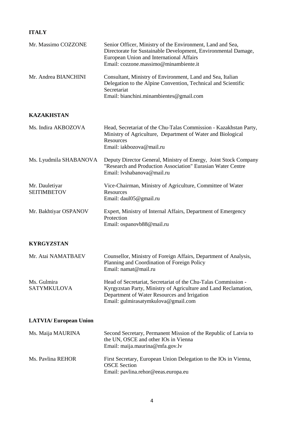## **ITALY**

| Mr. Massimo COZZONE                  | Senior Officer, Ministry of the Environment, Land and Sea,<br>Directorate for Sustainable Development, Environmental Damage,<br>European Union and International Affairs<br>Email: cozzone.massimo@minambiente.it        |
|--------------------------------------|--------------------------------------------------------------------------------------------------------------------------------------------------------------------------------------------------------------------------|
| Mr. Andrea BIANCHINI                 | Consultant, Ministry of Environment, Land and Sea, Italian<br>Delegation to the Alpine Convention, Technical and Scientific<br>Secretariat<br>Email: bianchini.minambientes@gmail.com                                    |
| <b>KAZAKHSTAN</b>                    |                                                                                                                                                                                                                          |
| Ms. Indira AKBOZOVA                  | Head, Secretariat of the Chu-Talas Commission - Kazakhstan Party,<br>Ministry of Agriculture, Department of Water and Biological<br>Resources<br>Email: iakbozova@mail.ru                                                |
| Ms. Lyudmila SHABANOVA               | Deputy Director General, Ministry of Energy, Joint Stock Company<br>"Research and Production Association" Eurasian Water Centre<br>Email: lyshabanova@mail.ru                                                            |
| Mr. Dauletiyar<br><b>SEITIMBETOV</b> | Vice-Chairman, Ministry of Agriculture, Committee of Water<br>Resources<br>Email: daul05@gmail.ru                                                                                                                        |
| Mr. Bakhtiyar OSPANOV                | Expert, Ministry of Internal Affairs, Department of Emergency<br>Protection<br>Email: ospanovb88@mail.ru                                                                                                                 |
| <b>KYRGYZSTAN</b>                    |                                                                                                                                                                                                                          |
| Mr. Atai NAMATBAEV                   | Counsellor, Ministry of Foreign Affairs, Department of Analysis,<br>Planning and Coordination of Foreign Policy<br>Email: namat@mail.ru                                                                                  |
| Ms. Gulmira<br><b>SATYMKULOVA</b>    | Head of Secretariat, Secretariat of the Chu-Talas Commission -<br>Kyrgyzstan Party, Ministry of Agriculture and Land Reclamation,<br>Department of Water Resources and Irrigation<br>Email: gulmirasatymkulova@gmail.com |
| <b>LATVIA/European Union</b>         |                                                                                                                                                                                                                          |
| Ms. Maija MAURINA                    | Second Secretary, Permanent Mission of the Republic of Latvia to<br>the UN, OSCE and other IOs in Vienna<br>Email: maija.maurina@mfa.gov.lv                                                                              |
| Ms. Pavlina REHOR                    | First Secretary, European Union Delegation to the IOs in Vienna,<br><b>OSCE</b> Section<br>Email: pavlina.rehor@eeas.europa.eu                                                                                           |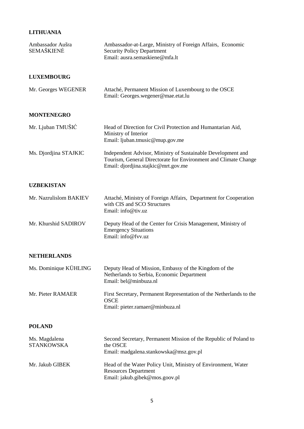## **LITHUANIA**

| Ambassador Aušra<br><b>SEMAŠKIENĖ</b> | Ambassador-at-Large, Ministry of Foreign Affairs, Economic<br><b>Security Policy Department</b><br>Email: ausra.semaskiene@mfa.lt                                      |
|---------------------------------------|------------------------------------------------------------------------------------------------------------------------------------------------------------------------|
| <b>LUXEMBOURG</b>                     |                                                                                                                                                                        |
| Mr. Georges WEGENER                   | Attaché, Permanent Mission of Luxembourg to the OSCE<br>Email: Georges.wegener@mae.etat.lu                                                                             |
| <b>MONTENEGRO</b>                     |                                                                                                                                                                        |
| Mr. Ljuban TMUŠIĆ                     | Head of Direction for Civil Protection and Humantarian Aid,<br>Ministry of Interior<br>Email: ljuban.tmusic@mup.gov.me                                                 |
| Ms. Djordjina STAJKIC                 | Independent Advisor, Ministry of Sustainable Development and<br>Tourism, General Directorate for Environment and Climate Change<br>Email: djordjina.stajkic@mrt.gov.me |
| <b>UZBEKISTAN</b>                     |                                                                                                                                                                        |
| Mr. Nazrulislom BAKIEV                | Attaché, Ministry of Foreign Affairs, Department for Cooperation<br>with CIS and SCO Structures<br>Email: info@tiv.uz                                                  |
| Mr. Khurshid SADIROV                  | Deputy Head of the Center for Crisis Management, Ministry of<br><b>Emergency Situations</b><br>Email: info@fvv.uz                                                      |
| <b>NETHERLANDS</b>                    |                                                                                                                                                                        |
| Ms. Dominique KÜHLING                 | Deputy Head of Mission, Embassy of the Kingdom of the<br>Netherlands to Serbia, Economic Department<br>Email: bel@minbuza.nl                                           |
| Mr. Pieter RAMAER                     | First Secretary, Permanent Representation of the Netherlands to the<br><b>OSCE</b><br>Email: pieter.ramaer@minbuza.nl                                                  |
| <b>POLAND</b>                         |                                                                                                                                                                        |
| Ms. Magdalena<br><b>STANKOWSKA</b>    | Second Secretary, Permanent Mission of the Republic of Poland to<br>the OSCE<br>Email: madgalena.stankowska@msz.gov.pl                                                 |
| Mr. Jakub GIBEK                       | Head of the Water Policy Unit, Ministry of Environment, Water<br><b>Resources Department</b><br>Email: jakub.gibek@mos.goov.pl                                         |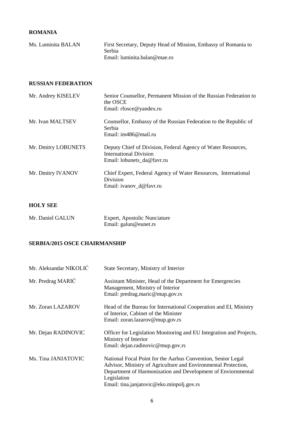#### **ROMANIA**

| Ms. Luminita BALAN | First Secretary, Deputy Head of Mission, Embassy of Romania to |
|--------------------|----------------------------------------------------------------|
|                    | Serbia                                                         |
|                    | Email: luminita.balan@mae.ro                                   |

#### **RUSSIAN FEDERATION**

| Mr. Andrey KISELEV  | Senior Counsellor, Permanent Mission of the Russian Federation to<br>the OSCE                                               |
|---------------------|-----------------------------------------------------------------------------------------------------------------------------|
|                     | Email: rfosce@yandex.ru                                                                                                     |
| Mr. Ivan MALTSEV    | Counsellor, Embassy of the Russian Federation to the Republic of<br>Serbia<br>Email: im486@mail.ru                          |
| Mr. Dmitry LOBUNETS | Deputy Chief of Division, Federal Agency of Water Resources,<br><b>International Division</b><br>Email: lobunets da@favr.ru |
| Mr. Dmitry IVANOV   | Chief Expert, Federal Agency of Water Resources, International<br>Division<br>Email: ivanov_d@favr.ru                       |

#### **HOLY SEE**

| Mr. Daniel GALUN | Expert, Apostolic Nunciature |
|------------------|------------------------------|
|                  | Email: galun@eunet.rs        |

#### **SERBIA/2015 OSCE CHAIRMANSHIP**

| Mr. Aleksandar NIKOLIĆ | State Secretary, Ministry of Interior                                                                                                                                                                                                                      |
|------------------------|------------------------------------------------------------------------------------------------------------------------------------------------------------------------------------------------------------------------------------------------------------|
| Mr. Predrag MARIĆ      | Assistant Minister, Head of the Department for Emergencies<br>Management, Ministry of Interior<br>Email: predrag.maric@mup.gov.rs                                                                                                                          |
| Mr. Zoran LAZAROV      | Head of the Bureau for International Cooperation and EI, Ministry<br>of Interior, Cabinet of the Minister<br>Email: zoran.lazarov@mup.gov.rs                                                                                                               |
| Mr. Dejan RADINOVIC    | Officer for Legislation Monitoring and EU Integration and Projects,<br>Ministry of Interior<br>Email: dejan.radinovic@mup.gov.rs                                                                                                                           |
| Ms. Tina JANJATOVIC    | National Focal Point for the Aarhus Convention, Senior Legal<br>Advisor, Ministry of Agriculture and Environmental Protection,<br>Department of Harmonization and Development of Enviornmental<br>Legislation<br>Email: tina.janjatovic@eko.minpolj.gov.rs |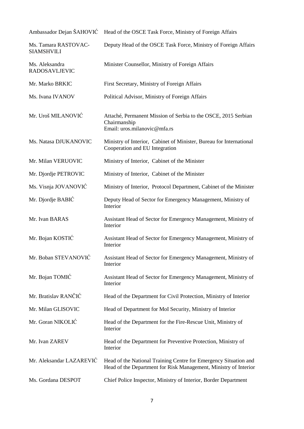| Ambassador Dejan ŠAHOVIĆ                  | Head of the OSCE Task Force, Ministry of Foreign Affairs                                                                             |
|-------------------------------------------|--------------------------------------------------------------------------------------------------------------------------------------|
| Ms. Tamara RASTOVAC-<br><b>SIAMSHVILI</b> | Deputy Head of the OSCE Task Force, Ministry of Foreign Affairs                                                                      |
| Ms. Aleksandra<br><b>RADOSAVLJEVIC</b>    | Minister Counsellor, Ministry of Foreign Affairs                                                                                     |
| Mr. Marko BRKIC                           | First Secretary, Ministry of Foreign Affairs                                                                                         |
| Ms. Ivana IVANOV                          | Political Advisor, Ministry of Foreign Affairs                                                                                       |
| Mr. Uroš MILANOVIĆ                        | Attaché, Permanent Mission of Serbia to the OSCE, 2015 Serbian<br>Chairmanship<br>Email: uros.milanovic@mfa.rs                       |
| Ms. Natasa DJUKANOVIC                     | Ministry of Interior, Cabinet of Minister, Bureau for International<br>Cooperation and EU Integration                                |
| Mr. Milan VERUOVIC                        | Ministry of Interior, Cabinet of the Minister                                                                                        |
| Mr. Djordje PETROVIC                      | Ministry of Interior, Cabinet of the Minister                                                                                        |
| Ms. Visnja JOVANOVIĆ                      | Ministry of Interior, Protocol Department, Cabinet of the Minister                                                                   |
| Mr. Djordje BABIĆ                         | Deputy Head of Sector for Emergency Management, Ministry of<br>Interior                                                              |
| Mr. Ivan BARAS                            | Assistant Head of Sector for Emergency Management, Ministry of<br>Interior                                                           |
| Mr. Bojan KOSTIĆ                          | Assistant Head of Sector for Emergency Management, Ministry of<br>Interior                                                           |
| Mr. Boban STEVANOVIĆ                      | Assistant Head of Sector for Emergency Management, Ministry of<br>Interior                                                           |
| Mr. Bojan TOMIĆ                           | Assistant Head of Sector for Emergency Management, Ministry of<br>Interior                                                           |
| Mr. Bratislav RANČIĆ                      | Head of the Department for Civil Protection, Ministry of Interior                                                                    |
| Mr. Milan GLISOVIC                        | Head of Department for MoI Security, Ministry of Interior                                                                            |
| Mr. Goran NIKOLIĆ                         | Head of the Department for the Fire-Rescue Unit, Ministry of<br>Interior                                                             |
| Mr. Ivan ZAREV                            | Head of the Department for Preventive Protection, Ministry of<br>Interior                                                            |
| Mr. Aleksandar LAZAREVIĆ                  | Head of the National Training Centre for Emergency Situation and<br>Head of the Department for Risk Management, Ministry of Interior |
| Ms. Gordana DESPOT                        | Chief Police Inspector, Ministry of Interior, Border Department                                                                      |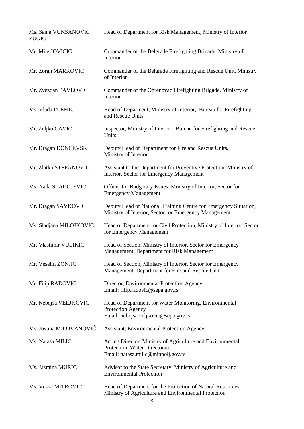| Ms. Sanja VUKSANOVIC<br><b>ZUGIC</b> | Head of Department for Risk Management, Ministry of Interior                                                                      |
|--------------------------------------|-----------------------------------------------------------------------------------------------------------------------------------|
| Mr. Mile JOVICIC                     | Commander of the Belgrade Firefighting Brigade, Ministry of<br>Interior                                                           |
| Mr. Zoran MARKOVIC                   | Commander of the Belgrade Firefighting and Rescue Unit, Ministry<br>of Interior                                                   |
| Mr. Zvezdan PAVLOVIC                 | Commander of the Obrenovac Firefighting Brigade, Ministry of<br>Interior                                                          |
| Ms. Vlada PLEMIC                     | Head of Deparment, Ministry of Interior, Bureau for Firefighting<br>and Rescue Units                                              |
| Mr. Zeljko CAVIC                     | Inspector, Ministry of Interior, Bureau for Firefighting and Rescue<br>Units                                                      |
| Mr. Dragan DONCEVSKI                 | Deputy Head of Department for Fire and Rescue Units,<br>Ministry of Interior                                                      |
| Mr. Zlatko STEFANOVIC                | Assistant to the Department for Preventive Protection, Ministry of<br>Interior, Sector for Emergency Management                   |
| Ms. Nada SLADOJEVIC                  | Officer for Budgetary Issues, Ministry of Interior, Sector for<br><b>Emergency Management</b>                                     |
| Mr. Dragan SAVKOVIC                  | Deputy Head of National Training Centre for Emergency Situation,<br>Ministry of Interior, Sector for Emergency Management         |
| Ms. Sladjana MILOJKOVIC              | Head of Department for Civil Protection, Ministry of Interior, Sector<br>for Emergency Management                                 |
| Mr. Vlastimir VULIKIC                | Head of Section, Ministry of Interior, Sector for Emergency<br>Management, Department for Risk Management                         |
| Mr. Veselin ZONJIC                   | Head of Section, Ministry of Interior, Sector for Emergency<br>Management, Department for Fire and Rescue Unit                    |
| Mr. Filip RADOVIC                    | Director, Environmental Protection Agency<br>Email: filip.radovic@sepa.gov.rs                                                     |
| Mr. Nebojša VELJKOVIC                | Head of Department for Water Monitoring, Environmental<br>Protection Agency<br>Email: nebojsa.veljkovic@sepa.gov.rs               |
| Ms. Jovana MILOVANOVIĆ               | <b>Assistant, Environmental Protection Agency</b>                                                                                 |
| Ms. Nataša MILIĆ                     | Acting Director, Ministry of Agriculture and Environmental<br>Protection, Water Directorate<br>Email: natasa.milic@minpolj.gov.rs |
| Ms. Jasmina MURIC                    | Advisor to the State Secretary, Ministry of Agriculture and<br><b>Environmental Protection</b>                                    |
| Ms. Vesna MITROVIC                   | Head of Department for the Protection of Natural Resources,<br>Ministry of Agriculture and Environmental Protection               |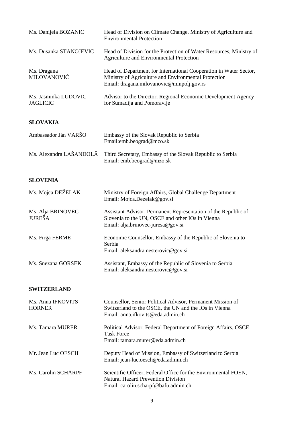| Ms. Danijela BOZANIC                    | Head of Division on Climate Change, Ministry of Agriculture and<br><b>Environmental Protection</b>                                                                     |
|-----------------------------------------|------------------------------------------------------------------------------------------------------------------------------------------------------------------------|
| Ms. Dusanka STANOJEVIC                  | Head of Division for the Protection of Water Resources, Ministry of<br>Agriculture and Environmental Protection                                                        |
| Ms. Dragana<br>MILOVANOVIĆ              | Head of Department for International Cooperation in Water Sector,<br>Ministry of Agriculture and Environmental Protection<br>Email: dragana.milovanovic@minpolj.gov.rs |
| Ms. Jasminka LUDOVIC<br><b>JAGLICIC</b> | Advisor to the Director, Regional Economic Development Agency<br>for Sumadija and Pomoravlje                                                                           |
| <b>SLOVAKIA</b>                         |                                                                                                                                                                        |
| Ambassador Ján VARŠO                    | Embassy of the Slovak Republic to Serbia<br>Email:emb.beograd@mzo.sk                                                                                                   |
| Ms. Alexandra LAŠANDOLĀ                 | Third Secretary, Embassy of the Slovak Republic to Serbia<br>Email: emb.beograd@mzo.sk                                                                                 |
| <b>SLOVENIA</b>                         |                                                                                                                                                                        |
| Ms. Mojca DEŽELAK                       | Ministry of Foreign Affairs, Global Challenge Department<br>Email: Mojca.Dezelak@gov.si                                                                                |
| Ms. Alja BRINOVEC<br><b>JUREŠA</b>      | Assistant Advisor, Permanent Representation of the Republic of<br>Slovenia to the UN, OSCE and other IOs in Vienna<br>Email: alja.brinovec-juresa@gov.si               |
| Ms. Firga FERME                         | Economic Counsellor, Embassy of the Republic of Slovenia to<br>Serbia<br>Email: aleksandra.nesterovic@gov.si                                                           |
| Ms. Snezana GORSEK                      | Assistant, Embassy of the Republic of Slovenia to Serbia<br>Email: aleksandra.nesterovic@gov.si                                                                        |
| <b>SWITZERLAND</b>                      |                                                                                                                                                                        |
| Ms. Anna IFKOVITS<br><b>HORNER</b>      | Counsellor, Senior Political Advisor, Permanent Mission of<br>Switzerland to the OSCE, the UN and the IOs in Vienna<br>Email: anna.ifkovits@eda.admin.ch               |
| Ms. Tamara MURER                        | Political Advisor, Federal Department of Foreign Affairs, OSCE<br><b>Task Force</b><br>Email: tamara.murer@eda.admin.ch                                                |
| Mr. Jean Luc OESCH                      | Deputy Head of Mission, Embassy of Switzerland to Serbia<br>Email: jean-luc.oesch@eda.admin.ch                                                                         |
| Ms. Carolin SCHÄRPF                     | Scientific Officer, Federal Office for the Environmental FOEN,<br><b>Natural Hazard Prevention Division</b><br>Email: carolin.scharpf@bafu.admin.ch                    |
|                                         |                                                                                                                                                                        |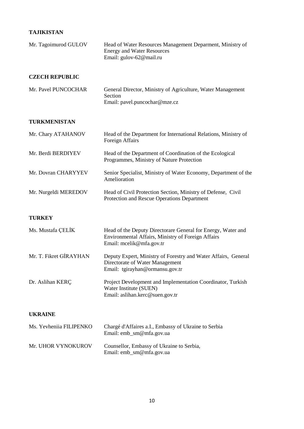#### **TAJIKISTAN**

| Mr. Tagoimurod GULOV    | Head of Water Resources Management Deparment, Ministry of<br><b>Energy and Water Resources</b><br>Email: gulov-62@mail.ru                      |
|-------------------------|------------------------------------------------------------------------------------------------------------------------------------------------|
| <b>CZECH REPUBLIC</b>   |                                                                                                                                                |
| Mr. Pavel PUNCOCHAR     | General Director, Ministry of Agriculture, Water Management<br>Section<br>Email: pavel.puncochar@mze.cz                                        |
| TURKMENISTAN            |                                                                                                                                                |
| Mr. Chary ATAHANOV      | Head of the Department for International Relations, Ministry of<br>Foreign Affairs                                                             |
| Mr. Berdi BERDIYEV      | Head of the Department of Coordination of the Ecological<br>Programmes, Ministry of Nature Protection                                          |
| Mr. Dovran CHARYYEV     | Senior Specialist, Ministry of Water Economy, Department of the<br>Amelioration                                                                |
| Mr. Nurgeldi MEREDOV    | Head of Civil Protection Section, Ministry of Defense, Civil<br>Protection and Rescue Operations Department                                    |
| <b>TURKEY</b>           |                                                                                                                                                |
| Ms. Mustafa ÇELİK       | Head of the Deputy Directorare General for Energy, Water and<br>Environmental Affairs, Ministry of Foreign Affairs<br>Email: mcelik@mfa.gov.tr |
| Mr. T. Fikret GİRAYHAN  | Deputy Expert, Ministry of Forestry and Water Affairs, General<br>Directorate of Water Management<br>Email: tgirayhan@ormansu.gov.tr           |
| Dr. Aslihan KERÇ        | Project Development and Implementation Coordinator, Turkish<br>Water Institute (SUEN)<br>Email: aslihan.kerc@suen.gov.tr                       |
| <b>UKRAINE</b>          |                                                                                                                                                |
| Ms. Yevheniia FILIPENKO | Chargé d'Affaires a.I., Embassy of Ukraine to Serbia<br>Email: emb_sm@mfa.gov.ua                                                               |
| Mr. UHOR VYNOKUROV      | Counsellor, Embassy of Ukraine to Serbia,<br>Email: emb_sm@mfa.gov.ua                                                                          |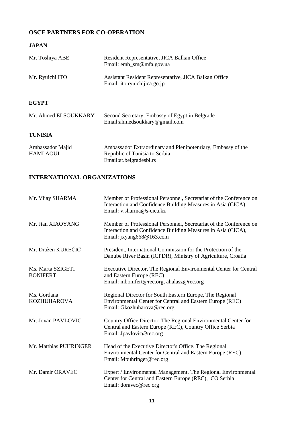## **OSCE PARTNERS FOR CO-OPERATION**

#### **JAPAN**

| Mr. Toshiya ABE                     | Resident Representative, JICA Balkan Office<br>Email: emb_sm@mfa.gov.ua                                                     |
|-------------------------------------|-----------------------------------------------------------------------------------------------------------------------------|
| Mr. Ryuichi ITO                     | Assistant Resident Representative, JICA Balkan Office<br>Email: ito.ryuichijica.go.jp                                       |
| <b>EGYPT</b>                        |                                                                                                                             |
| Mr. Ahmed ELSOUKKARY                | Second Secretary, Embassy of Egypt in Belgrade<br>Email: ahmedsoukkary@gmail.com                                            |
| <b>TUNISIA</b>                      |                                                                                                                             |
| Ambassador Majid<br><b>HAMLAOUI</b> | Ambassador Extraordinary and Plenipotenriary, Embassy of the<br>Republic of Tunisia to Serbia<br>Email: at. belgrades bl.rs |

## **INTERNATIONAL ORGANIZATIONS**

| Mr. Vijay SHARMA                     | Member of Professional Personnel, Secretariat of the Conference on<br>Interaction and Confidence Building Measures in Asia (CICA)<br>Email: v.sharma@s-cica.kz |
|--------------------------------------|----------------------------------------------------------------------------------------------------------------------------------------------------------------|
| Mr. Jian XIAOYANG                    | Member of Professional Personnel, Secretariat of the Conference on<br>Interaction and Confidence Building Measures in Asia (CICA),<br>Email: jxyang668@163.com |
| Mr. Dražen KUREČIC                   | President, International Commission for the Protection of the<br>Danube River Basin (ICPDR), Ministry of Agriculture, Croatia                                  |
| Ms. Marta SZIGETI<br><b>BONIFERT</b> | Executive Director, The Regional Environmental Center for Central<br>and Eastern Europe (REC)<br>Email: mbonifert@rec.org, ahalasz@rec.org                     |
| Ms. Gordana<br><b>KOZHUHAROVA</b>    | Regional Director for South Eastern Europe, The Regional<br>Environmental Center for Central and Eastern Europe (REC)<br>Email: Gkozhuharova@rec.org           |
| Mr. Jovan PAVLOVIC                   | Country Office Director, The Regional Environmental Center for<br>Central and Eastern Europe (REC), Country Office Serbia<br>Email: Jpavlovic@rec.org          |
| Mr. Matthias PUHRINGER               | Head of the Executive Director's Office, The Regional<br>Environmental Center for Central and Eastern Europe (REC)<br>Email: Mpuhringer@rec.org                |
| Mr. Damir ORAVEC                     | Expert / Environmental Management, The Regional Environmental<br>Center for Central and Eastern Europe (REC), CO Serbia<br>Email: doravec@rec.org              |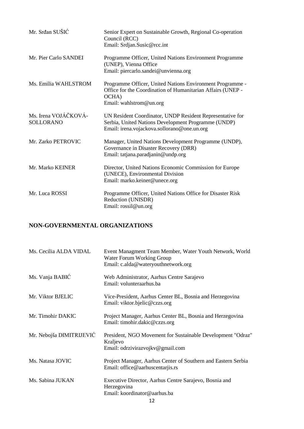| Mr. Srđan SUŠIĆ                          | Senior Expert on Sustainable Growth, Regional Co-operation<br>Council (RCC)<br>Email: Srdjan.Susic@rcc.int                                                      |
|------------------------------------------|-----------------------------------------------------------------------------------------------------------------------------------------------------------------|
| Mr. Pier Carlo SANDEI                    | Programme Officer, United Nations Environment Programme<br>(UNEP), Vienna Office<br>Email: piercarlo.sandei@unvienna.org                                        |
| Ms. Emilia WAHLSTROM                     | Programme Officer, United Nations Environment Programme -<br>Office for the Coordination of Humanitarian Affairs (UNEP -<br>OCHA)<br>Email: wahlstrom@un.org    |
| Ms. Irena VOJÁČKOVÁ-<br><b>SOLLORANO</b> | UN Resident Coordinator, UNDP Resident Representative for<br>Serbia, United Nations Development Programme (UNDP)<br>Email: irena.vojackova.sollorano@one.un.org |
| Mr. Zarko PETROVIC                       | Manager, United Nations Development Programme (UNDP),<br>Governance in Disaster Recovery (DRR)<br>Email: tatjana.paradjanin@undp.org                            |
| Mr. Marko KEINER                         | Director, United Nations Economic Commission for Europe<br>(UNECE), Environmental Division<br>Email: marko.keiner@unece.org                                     |
| Mr. Luca ROSSI                           | Programme Officer, United Nations Office for Disaster Risk<br>Reduction (UNISDR)<br>Email: rossil@un.org                                                        |

## NON-GOVERNMENTAL ORGANIZATIONS

| Ms. Cecilia ALDA VIDAL   | Event Managment Team Member, Water Youth Network, World<br>Water Forum Working Group<br>Email: c.alda@wateryouthnetwork.org |
|--------------------------|-----------------------------------------------------------------------------------------------------------------------------|
| Ms. Vanja BABIĆ          | Web Administrator, Aarhus Centre Sarajevo<br>Email: volunteraarhus.ba                                                       |
| Mr. Viktor BJELIC        | Vice-President, Aarhus Center BL, Bosnia and Herzegovina<br>Email: viktor.bjelic@czzs.org                                   |
| Mr. Timohir DAKIC        | Project Manager, Aarhus Center BL, Bosnia and Herzegovina<br>Email: timohir.dakic@czzs.org                                  |
| Mr. Nebojša DIMITRIJEVIĆ | President, NGO Movement for Sustainable Development "Odraz"<br>Kraljevo<br>Email: odrzivirazvojkv@gmail.com                 |
| Ms. Natasa JOVIC         | Project Manager, Aarhus Center of Southern and Eastern Serbia<br>Email: office@aarhuscentarjis.rs                           |
| Ms. Sabina JUKAN         | Executive Director, Aarhus Centre Sarajevo, Bosnia and<br>Herzegovina<br>Email: koordinator@aarhus.ba                       |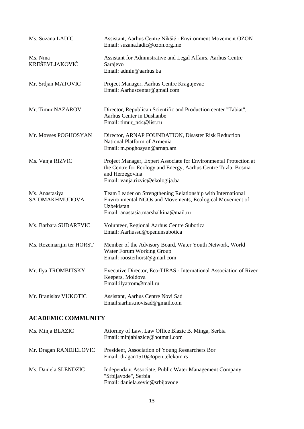| Ms. Suzana LADIC                  | Assistant, Aarhus Centre Nikšić - Environment Movement OZON<br>Email: suzana.ladic@ozon.org.me                                                                                             |
|-----------------------------------|--------------------------------------------------------------------------------------------------------------------------------------------------------------------------------------------|
| Ms. Nina<br><b>KREŠEVLJAKOVIĆ</b> | Assistant for Admnistrative and Legal Affairs, Aarhus Centre<br>Sarajevo<br>Email: admin@aarhus.ba                                                                                         |
| Mr. Srdjan MATOVIC                | Project Manager, Aarhus Centre Kragujevac<br>Email: Aarhuscentar@gmail.com                                                                                                                 |
| Mr. Timur NAZAROV                 | Director, Republican Scientific and Production center "Tabiat",<br>Aarhus Center in Dushanbe<br>Email: timur_n44@list.ru                                                                   |
| Mr. Movses POGHOSYAN              | Director, ARNAP FOUNDATION, Disaster Risk Reduction<br>National Platform of Armenia<br>Email: m.poghosyan@arnap.am                                                                         |
| Ms. Vanja RIZVIC                  | Project Manager, Expert Associate for Environmental Protection at<br>the Centre for Ecology and Energy, Aarhus Centre Tuzla, Bosnia<br>and Herzegovina<br>Email: vanja.rizvic@ekologija.ba |
| Ms. Anastasiya<br>SAIDMAKHMUDOVA  | Team Leader on Strengthening Relationship with International<br>Environmental NGOs and Movements, Ecological Movement of<br>Uzbekistan<br>Email: anastasia.marshalkina@mail.ru             |
| Ms. Barbara SUDAREVIC             | Volunteer, Regional Aarhus Centre Subotica<br>Email: Aarhussu@openunsubotica                                                                                                               |
| Ms. Rozemarijin ter HORST         | Member of the Advisory Board, Water Youth Network, World<br>Water Forum Working Group<br>Email: roosterhorst@gmail.com                                                                     |
| Mr. Ilya TROMBITSKY               | Executive Director, Eco-TIRAS - International Association of River<br>Keepers, Moldova<br>Email:ilyatrom@mail.ru                                                                           |
| Mr. Branislav VUKOTIC             | Assistant, Aarhus Centre Novi Sad<br>Email:aarhus.novisad@gmail.com                                                                                                                        |

### **ACADEMIC COMMUNITY**

| Ms. Minja BLAZIC       | Attorney of Law, Law Office Blazic B. Minga, Serbia<br>Email: minjablazice@hotmail.com                            |
|------------------------|-------------------------------------------------------------------------------------------------------------------|
| Mr. Dragan RANDJELOVIC | President, Association of Young Researchers Bor<br>Email: dragan1510@open.telekom.rs                              |
| Ms. Daniela SLENDZIC   | Independant Associate, Public Water Management Company<br>"Srbijavode", Serbia<br>Email: daniela.sevic@srbijavode |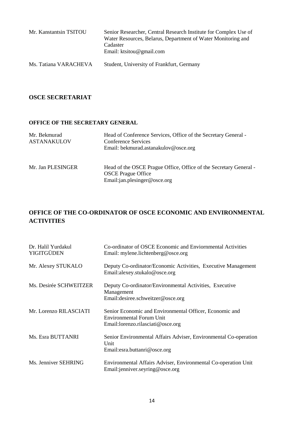| Mr. Kanstantsin TSITOU | Senior Researcher, Central Research Institute for Complex Use of<br>Water Resources, Belarus, Department of Water Monitoring and<br>Cadaster<br>Email: ktsitou@gmail.com |
|------------------------|--------------------------------------------------------------------------------------------------------------------------------------------------------------------------|
| Ms. Tatiana VARACHEVA  | Student, University of Frankfurt, Germany                                                                                                                                |

#### **OSCE SECRETARIAT**

#### **OFFICE OF THE SECRETARY GENERAL**

| Mr. Bekmurad<br><b>ASTANAKULOV</b> | Head of Conference Services, Office of the Secretary General -<br>Conference Services<br>Email: bekmurad.astanakulov@osce.org  |
|------------------------------------|--------------------------------------------------------------------------------------------------------------------------------|
| Mr. Jan PLESINGER                  | Head of the OSCE Prague Office, Office of the Secretary General -<br><b>OSCE</b> Prague Office<br>Email:jan.plesinger@osce.org |

## **OFFICE OF THE CO-ORDINATOR OF OSCE ECONOMIC AND ENVIRONMENTAL ACTIVITIES**

| Dr. Halil Yurdakul<br><b>YIGITGÜDEN</b> | Co-ordinator of OSCE Economic and Enviornmental Activities<br>Email: mylene.lichtenberg@osce.org                                |
|-----------------------------------------|---------------------------------------------------------------------------------------------------------------------------------|
| Mr. Alexey STUKALO                      | Deputy Co-ordinator/Economic Activities, Executive Management<br>Email:alexey.stukalo@osce.org                                  |
| Ms. Desirée SCHWEITZER                  | Deputy Co-ordinator/Environmental Activities, Executive<br>Management<br>Email: desiree.schweitzer@osce.org                     |
| Mr. Lorenzo RILASCIATI                  | Senior Economic and Environmental Officer, Economic and<br><b>Environmental Forum Unit</b><br>Email:lorenzo.rilasciati@osce.org |
| Ms. Esra BUTTANRI                       | Senior Environmental Affairs Adviser, Environmental Co-operation<br>Unit<br>Email: esra.buttanri@osce.org                       |
| Ms. Jenniver SEHRING                    | Environmental Affairs Adviser, Environmental Co-operation Unit<br>Email:jenniver.seyring@osce.org                               |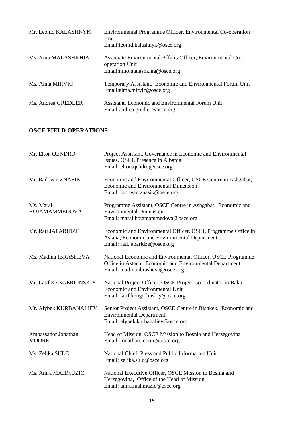| Mr. Leonid KALASHNYK | Environmental Programme Officer, Environmental Co-operation<br>Unit<br>Email:leonid.kalashnyk@osce.org         |
|----------------------|----------------------------------------------------------------------------------------------------------------|
| Ms. Nino MALASHKHIA  | Associate Environmental Affairs Officer, Environmental Co-<br>operation Unit<br>Email:nino.malashkhia@osce.org |
| Ms. Alma MIRVIC      | Temporary Assistant, Economic and Environmental Forum Unit<br>Email: alma.mirvic@osce.org                      |
| Ms. Andrea GREDLER   | Assistant, Economic and Environmental Forum Unit<br>Email: andrea.gredler@osce.org                             |

#### **OSCE FIELD OPERATIONS**

| Mr. Elton QENDRO                    | Project Assistant, Governance in Economic and Environmental<br>Issues, OSCE Presence in Albania<br>Email: elton.qendro@osce.org                            |
|-------------------------------------|------------------------------------------------------------------------------------------------------------------------------------------------------------|
| Mr. Radovan ZNASIK                  | Economic and Environmental Officer, OSCE Centre in Ashgabat,<br>Economic and Environmental Dimension<br>Email: radovan.znasik@osce.org                     |
| Ms. Maral<br>HOJAMAMMEDOVA          | Programme Assistant, OSCE Centre in Ashgabat, Economic and<br><b>Environmental Dimension</b><br>Email: maral.hojamammedova@osce.org                        |
| Mr. Rati JAPARIDZE                  | Economic and Environmental Officer, OSCE Programme Office in<br>Astana, Economic and Environmental Department<br>Email: rati.japaridze@osce.org            |
| Ms. Madina IBRASHEVA                | National Economic and Environmental Officer, OSCE Programme<br>Office in Astana, Economic and Environmental Department<br>Email: madina.ibrasheva@osce.org |
| Mr. Latif KENGERLINSKIY             | National Project Officer, OSCE Project Co-ordinator in Baku,<br><b>Economic and Environmental Unit</b><br>Email: latif.kengerlinskiy@osce.org              |
| Mr. Alybek KURBANALIEV              | Senior Project Assistant, OSCE Centre in Bishkek, Economic and<br><b>Environmental Department</b><br>Email: alybek.kurbanaliev@osce.org                    |
| Ambassador Jonathan<br><b>MOORE</b> | Head of Mission, OSCE Mission to Bosnia and Herzegovina<br>Email: jonathan.moore@osce.org                                                                  |
| Ms. Zeljka SULC                     | National Chief, Press and Public Information Unit<br>Email: zeljka.sulc@osce.org                                                                           |
| Ms. Amra MAHMUZIC                   | National Executive Officer, OSCE Mission to Bosnia and<br>Herzegovina, Office of the Head of Mission<br>Email: amra.mahmuzic@osce.org                      |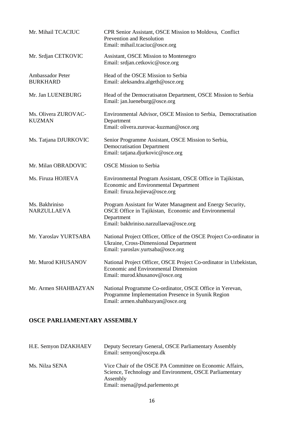| Mr. Mihail TCACIUC                    | CPR Senior Assistant, OSCE Mission to Moldova, Conflict<br>Prevention and Resolution<br>Email: mihail.tcaciuc@osce.org                                                      |
|---------------------------------------|-----------------------------------------------------------------------------------------------------------------------------------------------------------------------------|
| Mr. Srdjan CETKOVIC                   | Assistant, OSCE Mission to Montenegro<br>Email: srdjan.cetkovic@osce.org                                                                                                    |
| Ambassador Peter<br><b>BURKHARD</b>   | Head of the OSCE Mission to Serbia<br>Email: aleksandra.algeth@osce.org                                                                                                     |
| Mr. Jan LUENEBURG                     | Head of the Democratisaton Department, OSCE Mission to Serbia<br>Email: jan.lueneburg@osce.org                                                                              |
| Ms. Olivera ZUROVAC-<br><b>KUZMAN</b> | Environmental Advisor, OSCE Mission to Serbia, Democratisation<br>Department<br>Email: olivera.zurovac-kuzman@osce.org                                                      |
| Ms. Tatjana DJURKOVIC                 | Senior Programme Assistant, OSCE Mission to Serbia,<br><b>Democratisation Department</b><br>Email: tatjana.djurkovic@osce.org                                               |
| Mr. Milan OBRADOVIC                   | <b>OSCE Mission to Serbia</b>                                                                                                                                               |
| Ms. Firuza HOJIEVA                    | Environmental Program Assistant, OSCE Office in Tajikistan,<br>Economic and Environmental Department<br>Email: firuza.hojieva@osce.org                                      |
| Ms. Bakhriniso<br>NARZULLAEVA         | Program Assistant for Water Managment and Energy Security,<br>OSCE Office in Tajikistan, Economic and Environmental<br>Department<br>Email: bakhriniso.narzullaeva@osce.org |
| Mr. Yaroslav YURTSABA                 | National Project Officer, Office of the OSCE Project Co-ordinator in<br>Ukraine, Cross-Dimensional Department<br>Email: yaroslav.yurtsaba@osce.org                          |
| Mr. Murod KHUSANOV                    | National Project Officer, OSCE Project Co-ordinator in Uzbekistan,<br>Economic and Environmental Dimension<br>Email: murod.khusanov@osce.org                                |
| Mr. Armen SHAHBAZYAN                  | National Programme Co-ordinator, OSCE Office in Yerevan,<br>Programme Implementation Presence in Syunik Region<br>Email: armen.shahbazyan@osce.org                          |

## **OSCE PARLIAMENTARY ASSEMBLY**

| H.E. Semyon DZAKHAEV | Deputy Secretary General, OSCE Parliamentary Assembly<br>Email: semyon@oscepa.dk                                                                                  |
|----------------------|-------------------------------------------------------------------------------------------------------------------------------------------------------------------|
| Ms. Nilza SENA       | Vice Chair of the OSCE PA Committee on Economic Affairs,<br>Science, Technology and Environment, OSCE Parliamentary<br>Assembly<br>Email: nsena@psd.parlemento.pt |